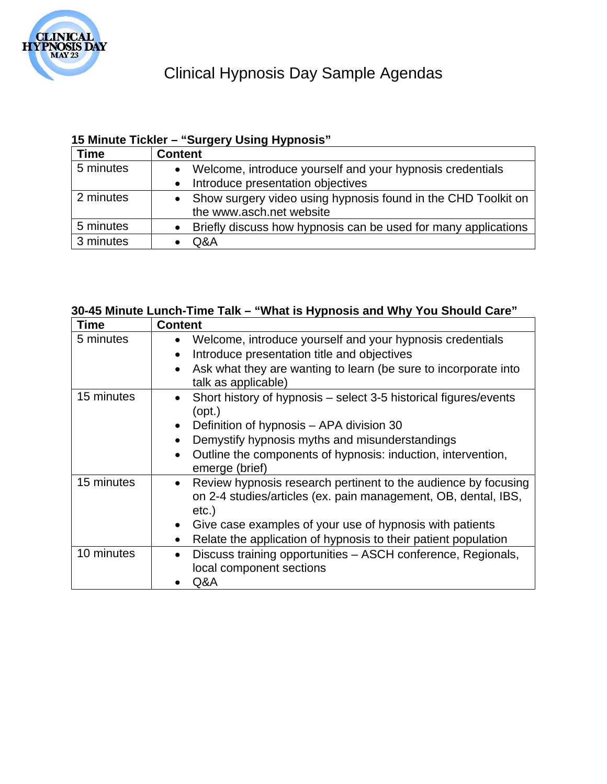

## **15 Minute Tickler – "Surgery Using Hypnosis"**

| <b>Time</b> | <b>Content</b>                                                  |
|-------------|-----------------------------------------------------------------|
| 5 minutes   | Welcome, introduce yourself and your hypnosis credentials       |
|             | Introduce presentation objectives                               |
| 2 minutes   | • Show surgery video using hypnosis found in the CHD Toolkit on |
|             | the www.asch.net website                                        |
| 5 minutes   | Briefly discuss how hypnosis can be used for many applications  |
| 3 minutes   | Q&A                                                             |

## **30-45 Minute Lunch-Time Talk – "What is Hypnosis and Why You Should Care"**

| Time       | <b>Content</b>                                                                                                                                                                                                                                                                                                    |
|------------|-------------------------------------------------------------------------------------------------------------------------------------------------------------------------------------------------------------------------------------------------------------------------------------------------------------------|
| 5 minutes  | Welcome, introduce yourself and your hypnosis credentials<br>$\bullet$<br>Introduce presentation title and objectives<br>$\bullet$<br>Ask what they are wanting to learn (be sure to incorporate into<br>talk as applicable)                                                                                      |
| 15 minutes | Short history of hypnosis – select 3-5 historical figures/events<br>$\bullet$<br>$($ opt. $)$<br>Definition of hypnosis – APA division 30<br>$\bullet$<br>Demystify hypnosis myths and misunderstandings<br>$\bullet$<br>Outline the components of hypnosis: induction, intervention,<br>emerge (brief)           |
| 15 minutes | Review hypnosis research pertinent to the audience by focusing<br>$\bullet$<br>on 2-4 studies/articles (ex. pain management, OB, dental, IBS,<br>$etc.$ )<br>Give case examples of your use of hypnosis with patients<br>$\bullet$<br>Relate the application of hypnosis to their patient population<br>$\bullet$ |
| 10 minutes | Discuss training opportunities - ASCH conference, Regionals,<br>$\bullet$<br>local component sections<br>Q&A                                                                                                                                                                                                      |